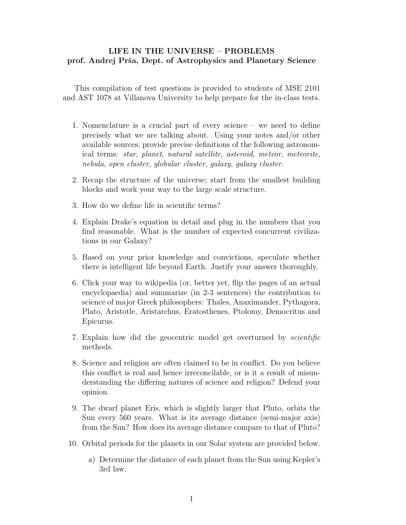## LIFE IN THE UNIVERSE – PROBLEMS prof. Andrej Prša, Dept. of Astrophysics and Planetary Science

This compilation of test questions is provided to students of MSE 2101 and AST 1078 at Villanova University to help prepare for the in-class tests.

- 1. Nomenclature is a crucial part of every science we need to define precisely what we are talking about. Using your notes and/or other available sources, provide precise definitions of the following astronomical terms: star, planet, natural satellite, asteroid, meteor, meteorite, nebula, open cluster, globular cluster, galaxy, galaxy cluster.
- 2. Recap the structure of the universe; start from the smallest building blocks and work your way to the large scale structure.
- 3. How do we define life in scientific terms?
- 4. Explain Drake's equation in detail and plug in the numbers that you find reasonable. What is the number of expected concurrent civilizations in our Galaxy?
- 5. Based on your prior knowledge and convictions, speculate whether there is intelligent life beyond Earth. Justify your answer thoroughly.
- 6. Click your way to wikipedia (or, better yet, flip the pages of an actual encyclopaedia) and summarize (in 2-3 sentences) the contribution to science of major Greek philosophers: Thales, Anaximander, Pythagora, Plato, Aristotle, Aristarchus, Eratosthenes, Ptolomy, Democritus and Epicurus.
- 7. Explain how did the geocentric model get overturned by scientific methods.
- 8. Science and religion are often claimed to be in conflict. Do you believe this conflict is real and hence irreconcilable, or is it a result of misunderstanding the differing natures of science and religion? Defend your opinion.
- 9. The dwarf planet Eris, which is slightly larger that Pluto, orbits the Sun every 560 years. What is its average distance (semi-major axis) from the Sun? How does its average distance compare to that of Pluto?
- 10. Orbital periods for the planets in our Solar system are provided below.
	- a) Determine the distance of each planet from the Sun using Kepler's 3rd law.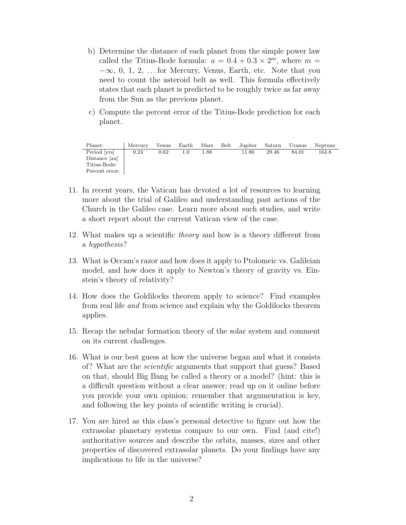- b) Determine the distance of each planet from the simple power law called the Titius-Bode formula:  $a = 0.4 + 0.3 \times 2^m$ , where  $m =$  $-\infty$ , 0, 1, 2, ... for Mercury, Venus, Earth, etc. Note that you need to count the asteroid belt as well. This formula effectively states that each planet is predicted to be roughly twice as far away from the Sun as the previous planet.
- c) Compute the percent error of the Titius-Bode prediction for each planet.

| Planet:        | Mercury | Venus | $_{\rm Earth}$ | Mars | Belt | Jupiter | Saturn | Uranus | Neptune |
|----------------|---------|-------|----------------|------|------|---------|--------|--------|---------|
| Period [yrs]   | 0.24    | 0.62  |                | 1.88 |      | 11.86   | 29.46  | 84.01  | 164.8   |
| Distance [au]  |         |       |                |      |      |         |        |        |         |
| Titius-Bode:   |         |       |                |      |      |         |        |        |         |
| Percent error: |         |       |                |      |      |         |        |        |         |

- 11. In recent years, the Vatican has devoted a lot of resources to learning more about the trial of Galileo and understanding past actions of the Church in the Galileo case. Learn more about such studies, and write a short report about the current Vatican view of the case.
- 12. What makes up a scientific theory and how is a theory different from a hypothesis?
- 13. What is Occam's razor and how does it apply to Ptolomeic vs. Galileian model, and how does it apply to Newton's theory of gravity vs. Einstein's theory of relativity?
- 14. How does the Goldilocks theorem apply to science? Find examples from real life and from science and explain why the Goldilocks theorem applies.
- 15. Recap the nebular formation theory of the solar system and comment on its current challenges.
- 16. What is our best guess at how the universe began and what it consists of? What are the scientific arguments that support that guess? Based on that, should Big Bang be called a theory or a model? (hint: this is a difficult question without a clear answer; read up on it online before you provide your own opinion; remember that argumentation is key, and following the key points of scientific writing is crucial).
- 17. You are hired as this class's personal detective to figure out how the extrasolar planetary systems compare to our own. Find (and cite!) authoritative sources and describe the orbits, masses, sizes and other properties of discovered extrasolar planets. Do your findings have any implications to life in the universe?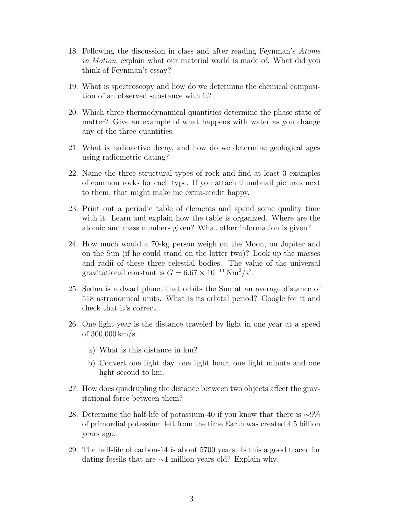- 18. Following the discussion in class and after reading Feynman's Atoms in Motion, explain what our material world is made of. What did you think of Feynman's essay?
- 19. What is spectroscopy and how do we determine the chemical composition of an observed substance with it?
- 20. Which three thermodynamical quantities determine the phase state of matter? Give an example of what happens with water as you change any of the three quantities.
- 21. What is radioactive decay, and how do we determine geological ages using radiometric dating?
- 22. Name the three structural types of rock and find at least 3 examples of common rocks for each type. If you attach thumbnail pictures next to them, that might make me extra-credit happy.
- 23. Print out a periodic table of elements and spend some quality time with it. Learn and explain how the table is organized. Where are the atomic and mass numbers given? What other information is given?
- 24. How much would a 70-kg person weigh on the Moon, on Jupiter and on the Sun (if he could stand on the latter two)? Look up the masses and radii of these three celestial bodies. The value of the universal gravitational constant is  $G = 6.67 \times 10^{-11} \text{ Nm}^2/\text{s}^2$ .
- 25. Sedna is a dwarf planet that orbits the Sun at an average distance of 518 astronomical units. What is its orbital period? Google for it and check that it's correct.
- 26. One light year is the distance traveled by light in one year at a speed of 300,000 km/s.
	- a) What is this distance in km?
	- b) Convert one light day, one light hour, one light minute and one light second to km.
- 27. How does quadrupling the distance between two objects affect the gravitational force between them?
- 28. Determine the half-life of potassium-40 if you know that there is ∼9% of primordial potassium left from the time Earth was created 4.5 billion years ago.
- 29. The half-life of carbon-14 is about 5700 years. Is this a good tracer for dating fossils that are ∼1 million years old? Explain why.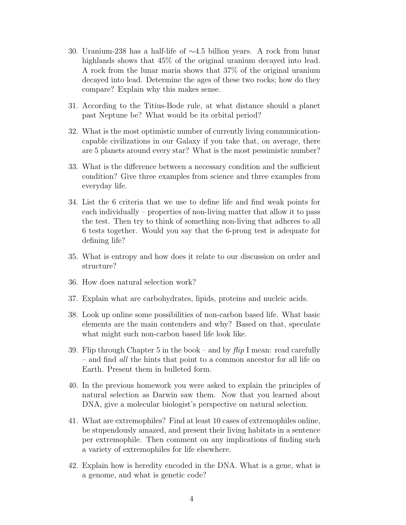- 30. Uranium-238 has a half-life of ∼4.5 billion years. A rock from lunar highlands shows that  $45\%$  of the original uranium decayed into lead. A rock from the lunar maria shows that 37% of the original uranium decayed into lead. Determine the ages of these two rocks; how do they compare? Explain why this makes sense.
- 31. According to the Titius-Bode rule, at what distance should a planet past Neptune be? What would be its orbital period?
- 32. What is the most optimistic number of currently living communicationcapable civilizations in our Galaxy if you take that, on average, there are 5 planets around every star? What is the most pessimistic number?
- 33. What is the difference between a necessary condition and the sufficient condition? Give three examples from science and three examples from everyday life.
- 34. List the 6 criteria that we use to define life and find weak points for each individually – properties of non-living matter that allow it to pass the test. Then try to think of something non-living that adheres to all 6 tests together. Would you say that the 6-prong test is adequate for defining life?
- 35. What is entropy and how does it relate to our discussion on order and structure?
- 36. How does natural selection work?
- 37. Explain what are carbohydrates, lipids, proteins and nucleic acids.
- 38. Look up online some possibilities of non-carbon based life. What basic elements are the main contenders and why? Based on that, speculate what might such non-carbon based life look like.
- 39. Flip through Chapter 5 in the book and by  $flip$  I mean: read carefully – and find all the hints that point to a common ancestor for all life on Earth. Present them in bulleted form.
- 40. In the previous homework you were asked to explain the principles of natural selection as Darwin saw them. Now that you learned about DNA, give a molecular biologist's perspective on natural selection.
- 41. What are extremophiles? Find at least 10 cases of extremophiles online, be stupendously amazed, and present their living habitats in a sentence per extremophile. Then comment on any implications of finding such a variety of extremophiles for life elsewhere.
- 42. Explain how is heredity encoded in the DNA. What is a gene, what is a genome, and what is genetic code?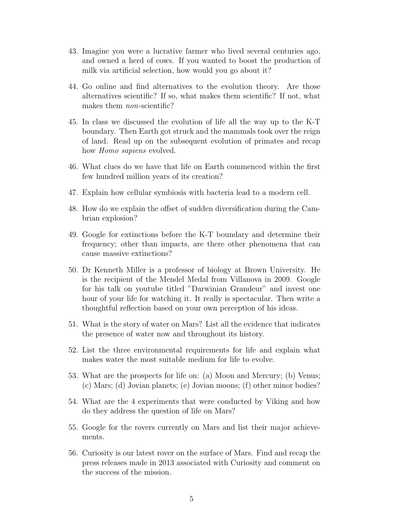- 43. Imagine you were a lucrative farmer who lived several centuries ago, and owned a herd of cows. If you wanted to boost the production of milk via artificial selection, how would you go about it?
- 44. Go online and find alternatives to the evolution theory. Are those alternatives scientific? If so, what makes them scientific? If not, what makes them *non*-scientific?
- 45. In class we discussed the evolution of life all the way up to the K-T boundary. Then Earth got struck and the mammals took over the reign of land. Read up on the subsequent evolution of primates and recap how *Homo sapiens* evolved.
- 46. What clues do we have that life on Earth commenced within the first few hundred million years of its creation?
- 47. Explain how cellular symbiosis with bacteria lead to a modern cell.
- 48. How do we explain the offset of sudden diversification during the Cambrian explosion?
- 49. Google for extinctions before the K-T boundary and determine their frequency; other than impacts, are there other phenomena that can cause massive extinctions?
- 50. Dr Kenneth Miller is a professor of biology at Brown University. He is the recipient of the Mendel Medal from Villanova in 2009. Google for his talk on youtube titled "Darwinian Grandeur" and invest one hour of your life for watching it. It really is spectacular. Then write a thoughtful reflection based on your own perception of his ideas.
- 51. What is the story of water on Mars? List all the evidence that indicates the presence of water now and throughout its history.
- 52. List the three environmental requirements for life and explain what makes water the most suitable medium for life to evolve.
- 53. What are the prospects for life on: (a) Moon and Mercury; (b) Venus; (c) Mars; (d) Jovian planets; (e) Jovian moons; (f) other minor bodies?
- 54. What are the 4 experiments that were conducted by Viking and how do they address the question of life on Mars?
- 55. Google for the rovers currently on Mars and list their major achievements.
- 56. Curiosity is our latest rover on the surface of Mars. Find and recap the press releases made in 2013 associated with Curiosity and comment on the success of the mission.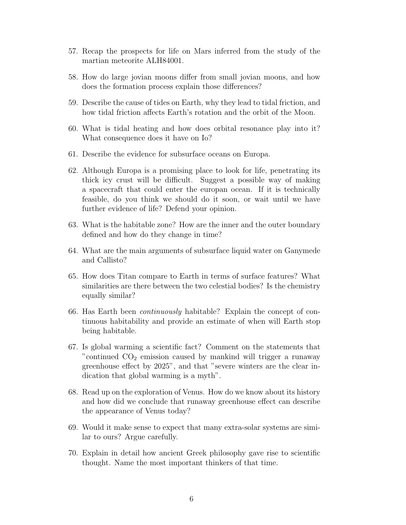- 57. Recap the prospects for life on Mars inferred from the study of the martian meteorite ALH84001.
- 58. How do large jovian moons differ from small jovian moons, and how does the formation process explain those differences?
- 59. Describe the cause of tides on Earth, why they lead to tidal friction, and how tidal friction affects Earth's rotation and the orbit of the Moon.
- 60. What is tidal heating and how does orbital resonance play into it? What consequence does it have on Io?
- 61. Describe the evidence for subsurface oceans on Europa.
- 62. Although Europa is a promising place to look for life, penetrating its thick icy crust will be difficult. Suggest a possible way of making a spacecraft that could enter the europan ocean. If it is technically feasible, do you think we should do it soon, or wait until we have further evidence of life? Defend your opinion.
- 63. What is the habitable zone? How are the inner and the outer boundary defined and how do they change in time?
- 64. What are the main arguments of subsurface liquid water on Ganymede and Callisto?
- 65. How does Titan compare to Earth in terms of surface features? What similarities are there between the two celestial bodies? Is the chemistry equally similar?
- 66. Has Earth been continuously habitable? Explain the concept of continuous habitability and provide an estimate of when will Earth stop being habitable.
- 67. Is global warming a scientific fact? Comment on the statements that "continued  $CO<sub>2</sub>$  emission caused by mankind will trigger a runaway greenhouse effect by 2025", and that "severe winters are the clear indication that global warming is a myth".
- 68. Read up on the exploration of Venus. How do we know about its history and how did we conclude that runaway greenhouse effect can describe the appearance of Venus today?
- 69. Would it make sense to expect that many extra-solar systems are similar to ours? Argue carefully.
- 70. Explain in detail how ancient Greek philosophy gave rise to scientific thought. Name the most important thinkers of that time.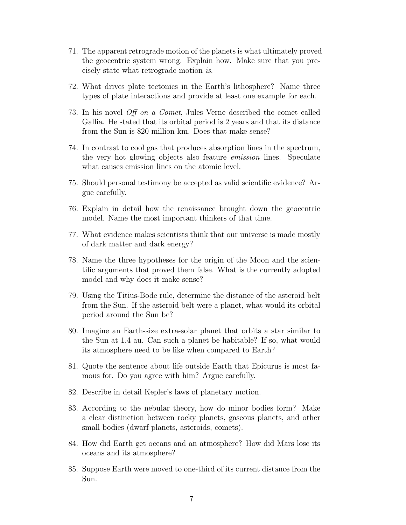- 71. The apparent retrograde motion of the planets is what ultimately proved the geocentric system wrong. Explain how. Make sure that you precisely state what retrograde motion is.
- 72. What drives plate tectonics in the Earth's lithosphere? Name three types of plate interactions and provide at least one example for each.
- 73. In his novel Off on a Comet, Jules Verne described the comet called Gallia. He stated that its orbital period is 2 years and that its distance from the Sun is 820 million km. Does that make sense?
- 74. In contrast to cool gas that produces absorption lines in the spectrum, the very hot glowing objects also feature emission lines. Speculate what causes emission lines on the atomic level.
- 75. Should personal testimony be accepted as valid scientific evidence? Argue carefully.
- 76. Explain in detail how the renaissance brought down the geocentric model. Name the most important thinkers of that time.
- 77. What evidence makes scientists think that our universe is made mostly of dark matter and dark energy?
- 78. Name the three hypotheses for the origin of the Moon and the scientific arguments that proved them false. What is the currently adopted model and why does it make sense?
- 79. Using the Titius-Bode rule, determine the distance of the asteroid belt from the Sun. If the asteroid belt were a planet, what would its orbital period around the Sun be?
- 80. Imagine an Earth-size extra-solar planet that orbits a star similar to the Sun at 1.4 au. Can such a planet be habitable? If so, what would its atmosphere need to be like when compared to Earth?
- 81. Quote the sentence about life outside Earth that Epicurus is most famous for. Do you agree with him? Argue carefully.
- 82. Describe in detail Kepler's laws of planetary motion.
- 83. According to the nebular theory, how do minor bodies form? Make a clear distinction between rocky planets, gaseous planets, and other small bodies (dwarf planets, asteroids, comets).
- 84. How did Earth get oceans and an atmosphere? How did Mars lose its oceans and its atmosphere?
- 85. Suppose Earth were moved to one-third of its current distance from the Sun.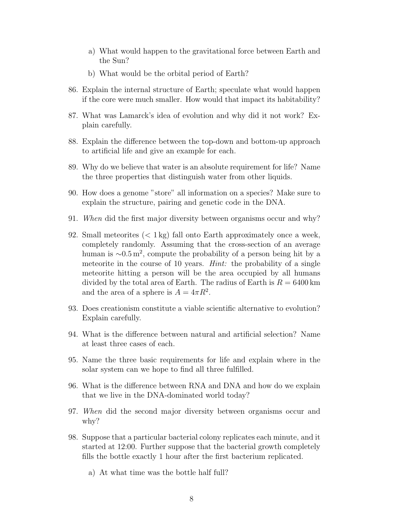- a) What would happen to the gravitational force between Earth and the Sun?
- b) What would be the orbital period of Earth?
- 86. Explain the internal structure of Earth; speculate what would happen if the core were much smaller. How would that impact its habitability?
- 87. What was Lamarck's idea of evolution and why did it not work? Explain carefully.
- 88. Explain the difference between the top-down and bottom-up approach to artificial life and give an example for each.
- 89. Why do we believe that water is an absolute requirement for life? Name the three properties that distinguish water from other liquids.
- 90. How does a genome "store" all information on a species? Make sure to explain the structure, pairing and genetic code in the DNA.
- 91. When did the first major diversity between organisms occur and why?
- 92. Small meteorites  $(< 1 \,\mathrm{kg}$  fall onto Earth approximately once a week, completely randomly. Assuming that the cross-section of an average human is  $\sim 0.5 \,\mathrm{m}^2$ , compute the probability of a person being hit by a meteorite in the course of 10 years. *Hint*: the probability of a single meteorite hitting a person will be the area occupied by all humans divided by the total area of Earth. The radius of Earth is  $R = 6400 \text{ km}$ and the area of a sphere is  $A = 4\pi R^2$ .
- 93. Does creationism constitute a viable scientific alternative to evolution? Explain carefully.
- 94. What is the difference between natural and artificial selection? Name at least three cases of each.
- 95. Name the three basic requirements for life and explain where in the solar system can we hope to find all three fulfilled.
- 96. What is the difference between RNA and DNA and how do we explain that we live in the DNA-dominated world today?
- 97. When did the second major diversity between organisms occur and why?
- 98. Suppose that a particular bacterial colony replicates each minute, and it started at 12:00. Further suppose that the bacterial growth completely fills the bottle exactly 1 hour after the first bacterium replicated.
	- a) At what time was the bottle half full?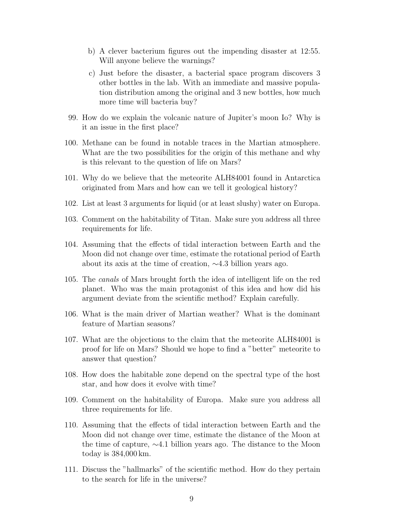- b) A clever bacterium figures out the impending disaster at 12:55. Will anyone believe the warnings?
- c) Just before the disaster, a bacterial space program discovers 3 other bottles in the lab. With an immediate and massive population distribution among the original and 3 new bottles, how much more time will bacteria buy?
- 99. How do we explain the volcanic nature of Jupiter's moon Io? Why is it an issue in the first place?
- 100. Methane can be found in notable traces in the Martian atmosphere. What are the two possibilities for the origin of this methane and why is this relevant to the question of life on Mars?
- 101. Why do we believe that the meteorite ALH84001 found in Antarctica originated from Mars and how can we tell it geological history?
- 102. List at least 3 arguments for liquid (or at least slushy) water on Europa.
- 103. Comment on the habitability of Titan. Make sure you address all three requirements for life.
- 104. Assuming that the effects of tidal interaction between Earth and the Moon did not change over time, estimate the rotational period of Earth about its axis at the time of creation, ∼4.3 billion years ago.
- 105. The canals of Mars brought forth the idea of intelligent life on the red planet. Who was the main protagonist of this idea and how did his argument deviate from the scientific method? Explain carefully.
- 106. What is the main driver of Martian weather? What is the dominant feature of Martian seasons?
- 107. What are the objections to the claim that the meteorite ALH84001 is proof for life on Mars? Should we hope to find a "better" meteorite to answer that question?
- 108. How does the habitable zone depend on the spectral type of the host star, and how does it evolve with time?
- 109. Comment on the habitability of Europa. Make sure you address all three requirements for life.
- 110. Assuming that the effects of tidal interaction between Earth and the Moon did not change over time, estimate the distance of the Moon at the time of capture, ∼4.1 billion years ago. The distance to the Moon today is 384,000 km.
- 111. Discuss the "hallmarks" of the scientific method. How do they pertain to the search for life in the universe?